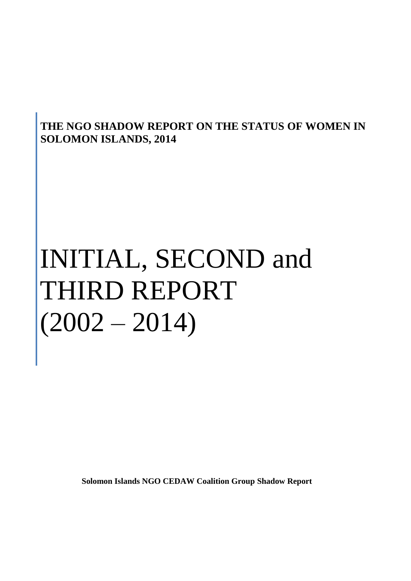# **THE NGO SHADOW REPORT ON THE STATUS OF WOMEN IN SOLOMON ISLANDS, 2014**

# INITIAL, SECOND and THIRD REPORT  $(2002 - 2014)$

**Solomon Islands NGO CEDAW Coalition Group Shadow Report**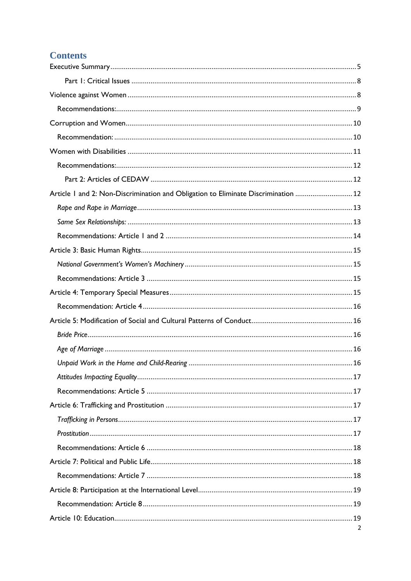# **Contents**

| Article 1 and 2: Non-Discrimination and Obligation to Eliminate Discrimination  12 |  |
|------------------------------------------------------------------------------------|--|
|                                                                                    |  |
|                                                                                    |  |
|                                                                                    |  |
|                                                                                    |  |
|                                                                                    |  |
|                                                                                    |  |
|                                                                                    |  |
|                                                                                    |  |
|                                                                                    |  |
|                                                                                    |  |
|                                                                                    |  |
|                                                                                    |  |
|                                                                                    |  |
|                                                                                    |  |
|                                                                                    |  |
|                                                                                    |  |
|                                                                                    |  |
|                                                                                    |  |
|                                                                                    |  |
|                                                                                    |  |
|                                                                                    |  |
|                                                                                    |  |
|                                                                                    |  |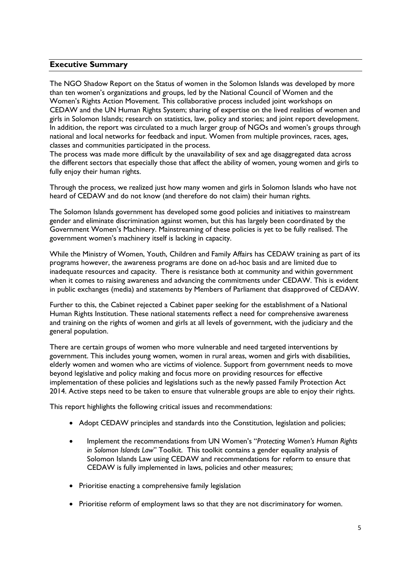#### <span id="page-4-0"></span>**Executive Summary**

The NGO Shadow Report on the Status of women in the Solomon Islands was developed by more than ten women's organizations and groups, led by the National Council of Women and the Women's Rights Action Movement. This collaborative process included joint workshops on CEDAW and the UN Human Rights System; sharing of expertise on the lived realities of women and girls in Solomon Islands; research on statistics, law, policy and stories; and joint report development. In addition, the report was circulated to a much larger group of NGOs and women's groups through national and local networks for feedback and input. Women from multiple provinces, races, ages, classes and communities participated in the process.

The process was made more difficult by the unavailability of sex and age disaggregated data across the different sectors that especially those that affect the ability of women, young women and girls to fully enjoy their human rights.

Through the process, we realized just how many women and girls in Solomon Islands who have not heard of CEDAW and do not know (and therefore do not claim) their human rights.

The Solomon Islands government has developed some good policies and initiatives to mainstream gender and eliminate discrimination against women, but this has largely been coordinated by the Government Women's Machinery. Mainstreaming of these policies is yet to be fully realised. The government women's machinery itself is lacking in capacity.

While the Ministry of Women, Youth, Children and Family Affairs has CEDAW training as part of its programs however, the awareness programs are done on ad-hoc basis and are limited due to inadequate resources and capacity. There is resistance both at community and within government when it comes to raising awareness and advancing the commitments under CEDAW. This is evident in public exchanges (media) and statements by Members of Parliament that disapproved of CEDAW.

Further to this, the Cabinet rejected a Cabinet paper seeking for the establishment of a National Human Rights Institution. These national statements reflect a need for comprehensive awareness and training on the rights of women and girls at all levels of government, with the judiciary and the general population.

There are certain groups of women who more vulnerable and need targeted interventions by government. This includes young women, women in rural areas, women and girls with disabilities, elderly women and women who are victims of violence. Support from government needs to move beyond legislative and policy making and focus more on providing resources for effective implementation of these policies and legislations such as the newly passed Family Protection Act 2014. Active steps need to be taken to ensure that vulnerable groups are able to enjoy their rights.

This report highlights the following critical issues and recommendations:

- Adopt CEDAW principles and standards into the Constitution, legislation and policies;
- Implement the recommendations from UN Women's "*Protecting Women's Human Rights in Solomon Islands Law*" Toolkit. This toolkit contains a gender equality analysis of Solomon Islands Law using CEDAW and recommendations for reform to ensure that CEDAW is fully implemented in laws, policies and other measures;
- Prioritise enacting a comprehensive family legislation
- Prioritise reform of employment laws so that they are not discriminatory for women.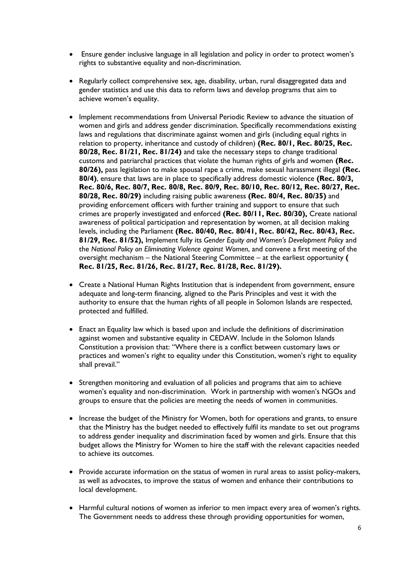- Ensure gender inclusive language in all legislation and policy in order to protect women's rights to substantive equality and non-discrimination.
- Regularly collect comprehensive sex, age, disability, urban, rural disaggregated data and gender statistics and use this data to reform laws and develop programs that aim to achieve women's equality.
- Implement recommendations from Universal Periodic Review to advance the situation of women and girls and address gender discrimination. Specifically recommendations existing laws and regulations that discriminate against women and girls (including equal rights in relation to property, inheritance and custody of children) **(Rec. 80/1, Rec. 80/25, Rec. 80/28, Rec. 81/21, Rec. 81/24)** and take the necessary steps to change traditional customs and patriarchal practices that violate the human rights of girls and women **(Rec. 80/26),** pass legislation to make spousal rape a crime, make sexual harassment illegal **(Rec. 80/4)**, ensure that laws are in place to specifically address domestic violence **(Rec. 80/3, Rec. 80/6, Rec. 80/7, Rec. 80/8, Rec. 80/9, Rec. 80/10, Rec. 80/12, Rec. 80/27, Rec. 80/28, Rec. 80/29)** including raising public awareness **(Rec. 80/4, Rec. 80/35)** and providing enforcement officers with further training and support to ensure that such crimes are properly investigated and enforced **(Rec. 80/11, Rec. 80/30),** Create national awareness of political participation and representation by women, at all decision making levels, including the Parliament **(Rec. 80/40, Rec. 80/41, Rec. 80/42, Rec. 80/43, Rec. 81/29, Rec. 81/52),** Implement fully its *Gender Equity and Women's Development Policy* and the *National Policy on Eliminating Violence against Women*, and convene a first meeting of the oversight mechanism – the National Steering Committee – at the earliest opportunity **( Rec. 81/25, Rec. 81/26, Rec. 81/27, Rec. 81/28, Rec. 81/29).**
- Create a National Human Rights Institution that is independent from government, ensure adequate and long-term financing, aligned to the Paris Principles and vest it with the authority to ensure that the human rights of all people in Solomon Islands are respected, protected and fulfilled.
- Enact an Equality law which is based upon and include the definitions of discrimination against women and substantive equality in CEDAW. Include in the Solomon Islands Constitution a provision that: "Where there is a conflict between customary laws or practices and women's right to equality under this Constitution, women's right to equality shall prevail."
- Strengthen monitoring and evaluation of all policies and programs that aim to achieve women's equality and non-discrimination. Work in partnership with women's NGOs and groups to ensure that the policies are meeting the needs of women in communities.
- Increase the budget of the Ministry for Women, both for operations and grants, to ensure that the Ministry has the budget needed to effectively fulfil its mandate to set out programs to address gender inequality and discrimination faced by women and girls. Ensure that this budget allows the Ministry for Women to hire the staff with the relevant capacities needed to achieve its outcomes.
- Provide accurate information on the status of women in rural areas to assist policy-makers, as well as advocates, to improve the status of women and enhance their contributions to local development.
- Harmful cultural notions of women as inferior to men impact every area of women's rights. The Government needs to address these through providing opportunities for women,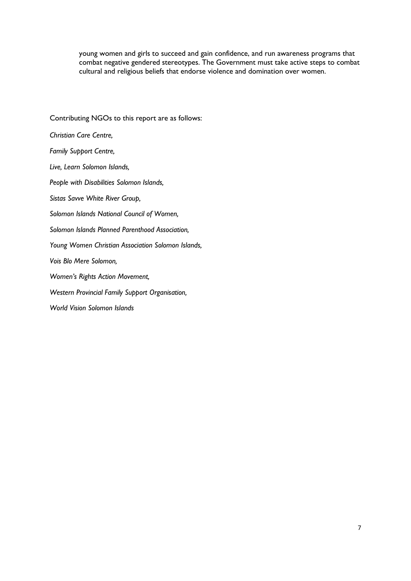young women and girls to succeed and gain confidence, and run awareness programs that combat negative gendered stereotypes. The Government must take active steps to combat cultural and religious beliefs that endorse violence and domination over women.

Contributing NGOs to this report are as follows: *Christian Care Centre, Family Support Centre, Live, Learn Solomon Islands, People with Disabilities Solomon Islands, Sistas Savve White River Group, Solomon Islands National Council of Women, Solomon Islands Planned Parenthood Association, Young Women Christian Association Solomon Islands, Vois Blo Mere Solomon, Women's Rights Action Movement, Western Provincial Family Support Organisation, World Vision Solomon Islands*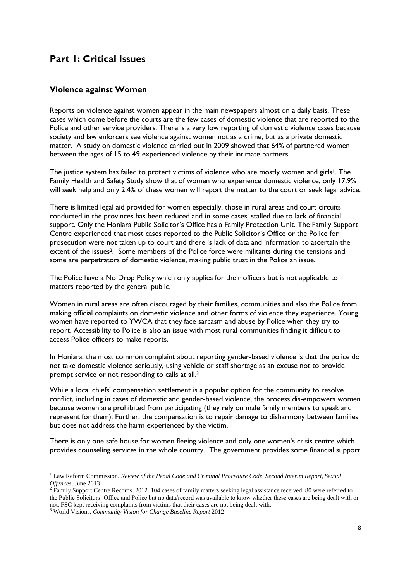# <span id="page-7-1"></span><span id="page-7-0"></span>**Part 1: Critical Issues**

#### **Violence against Women**

Reports on violence against women appear in the main newspapers almost on a daily basis. These cases which come before the courts are the few cases of domestic violence that are reported to the Police and other service providers. There is a very low reporting of domestic violence cases because society and law enforcers see violence against women not as a crime, but as a private domestic matter. A study on domestic violence carried out in 2009 showed that 64% of partnered women between the ages of 15 to 49 experienced violence by their intimate partners.

The justice system has failed to protect victims of violence who are mostly women and girls<sup>1</sup>. The Family Health and Safety Study show that of women who experience domestic violence, only 17.9% will seek help and only 2.4% of these women will report the matter to the court or seek legal advice.

There is limited legal aid provided for women especially, those in rural areas and court circuits conducted in the provinces has been reduced and in some cases, stalled due to lack of financial support. Only the Honiara Public Solicitor's Office has a Family Protection Unit. The Family Support Centre experienced that most cases reported to the Public Solicitor's Office or the Police for prosecution were not taken up to court and there is lack of data and information to ascertain the extent of the issues<sup>2</sup>. Some members of the Police force were militants during the tensions and some are perpetrators of domestic violence, making public trust in the Police an issue.

The Police have a No Drop Policy which only applies for their officers but is not applicable to matters reported by the general public.

Women in rural areas are often discouraged by their families, communities and also the Police from making official complaints on domestic violence and other forms of violence they experience. Young women have reported to YWCA that they face sarcasm and abuse by Police when they try to report. Accessibility to Police is also an issue with most rural communities finding it difficult to access Police officers to make reports.

In Honiara, the most common complaint about reporting gender-based violence is that the police do not take domestic violence seriously, using vehicle or staff shortage as an excuse not to provide prompt service or not responding to calls at all.<sup>3</sup>

While a local chiefs' compensation settlement is a popular option for the community to resolve conflict, including in cases of domestic and gender-based violence, the process dis-empowers women because women are prohibited from participating (they rely on male family members to speak and represent for them). Further, the compensation is to repair damage to disharmony between families but does not address the harm experienced by the victim.

There is only one safe house for women fleeing violence and only one women's crisis centre which provides counseling services in the whole country. The government provides some financial support

1

<sup>1</sup> Law Reform Commission. *Review of the Penal Code and Criminal Procedure Code, Second Interim Report, Sexual Offences*, June 2013

<sup>&</sup>lt;sup>2</sup> Family Support Centre Records, 2012. 104 cases of family matters seeking legal assistance received, 80 were referred to the Public Solicitors' Office and Police but no data/record was available to know whether these cases are being dealt with or not. FSC kept receiving complaints from victims that their cases are not being dealt with.

<sup>3</sup> World Visions*, Community Vision for Change Baseline Report* 2012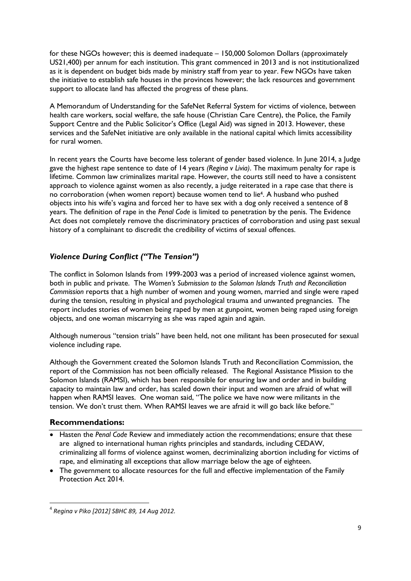for these NGOs however; this is deemed inadequate – 150,000 Solomon Dollars (approximately US21,400) per annum for each institution. This grant commenced in 2013 and is not institutionalized as it is dependent on budget bids made by ministry staff from year to year. Few NGOs have taken the initiative to establish safe houses in the provinces however; the lack resources and government support to allocate land has affected the progress of these plans.

A Memorandum of Understanding for the SafeNet Referral System for victims of violence, between health care workers, social welfare, the safe house (Christian Care Centre), the Police, the Family Support Centre and the Public Solicitor's Office (Legal Aid) was signed in 2013. However, these services and the SafeNet initiative are only available in the national capital which limits accessibility for rural women.

In recent years the Courts have become less tolerant of gender based violence. In June 2014, a Judge gave the highest rape sentence to date of 14 years *(Regina v Livia)*. The maximum penalty for rape is lifetime. Common law criminalizes marital rape. However, the courts still need to have a consistent approach to violence against women as also recently, a judge reiterated in a rape case that there is no corroboration (when women report) because women tend to lie4. A husband who pushed objects into his wife's vagina and forced her to have sex with a dog only received a sentence of 8 years. The definition of rape in the *Penal Code* is limited to penetration by the penis. The Evidence Act does not completely remove the discriminatory practices of corroboration and using past sexual history of a complainant to discredit the credibility of victims of sexual offences.

# *Violence During Conflict ("The Tension")*

The conflict in Solomon Islands from 1999-2003 was a period of increased violence against women, both in public and private. The *Women's Submission to the Solomon Islands Truth and Reconciliation Commission* reports that a high number of women and young women, married and single were raped during the tension, resulting in physical and psychological trauma and unwanted pregnancies. The report includes stories of women being raped by men at gunpoint, women being raped using foreign objects, and one woman miscarrying as she was raped again and again.

Although numerous "tension trials" have been held, not one militant has been prosecuted for sexual violence including rape.

Although the Government created the Solomon Islands Truth and Reconciliation Commission, the report of the Commission has not been officially released. The Regional Assistance Mission to the Solomon Islands (RAMSI), which has been responsible for ensuring law and order and in building capacity to maintain law and order, has scaled down their input and women are afraid of what will happen when RAMSI leaves. One woman said, "The police we have now were militants in the tension. We don't trust them. When RAMSI leaves we are afraid it will go back like before."

#### <span id="page-8-0"></span>**Recommendations:**

**.** 

- Hasten the *Penal Code* Review and immediately action the recommendations; ensure that these are aligned to international human rights principles and standards, including CEDAW, criminalizing all forms of violence against women, decriminalizing abortion including for victims of rape, and eliminating all exceptions that allow marriage below the age of eighteen.
- The government to allocate resources for the full and effective implementation of the Family Protection Act 2014.

<sup>4</sup> *Regina v Piko [2012] SBHC 89, 14 Aug 2012.*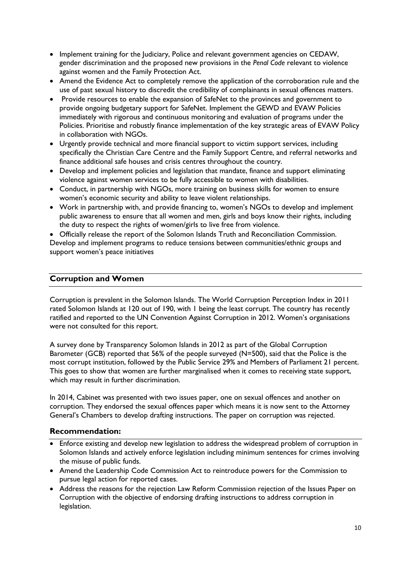- Implement training for the Judiciary, Police and relevant government agencies on CEDAW, gender discrimination and the proposed new provisions in the *Penal Code* relevant to violence against women and the Family Protection Act.
- Amend the Evidence Act to completely remove the application of the corroboration rule and the use of past sexual history to discredit the credibility of complainants in sexual offences matters.
- Provide resources to enable the expansion of SafeNet to the provinces and government to provide ongoing budgetary support for SafeNet. Implement the GEWD and EVAW Policies immediately with rigorous and continuous monitoring and evaluation of programs under the Policies. Prioritise and robustly finance implementation of the key strategic areas of EVAW Policy in collaboration with NGOs.
- Urgently provide technical and more financial support to victim support services, including specifically the Christian Care Centre and the Family Support Centre, and referral networks and finance additional safe houses and crisis centres throughout the country.
- Develop and implement policies and legislation that mandate, finance and support eliminating violence against women services to be fully accessible to women with disabilities.
- Conduct, in partnership with NGOs, more training on business skills for women to ensure women's economic security and ability to leave violent relationships.
- Work in partnership with, and provide financing to, women's NGOs to develop and implement public awareness to ensure that all women and men, girls and boys know their rights, including the duty to respect the rights of women/girls to live free from violence.

 Officially release the report of the Solomon Islands Truth and Reconciliation Commission. Develop and implement programs to reduce tensions between communities/ethnic groups and support women's peace initiatives

# <span id="page-9-0"></span>**Corruption and Women**

Corruption is prevalent in the Solomon Islands. The World Corruption Perception Index in 2011 rated Solomon Islands at 120 out of 190, with 1 being the least corrupt. The country has recently ratified and reported to the UN Convention Against Corruption in 2012. Women's organisations were not consulted for this report.

A survey done by Transparency Solomon Islands in 2012 as part of the Global Corruption Barometer (GCB) reported that 56% of the people surveyed (N=500), said that the Police is the most corrupt institution, followed by the Public Service 29% and Members of Parliament 21 percent. This goes to show that women are further marginalised when it comes to receiving state support, which may result in further discrimination.

In 2014, Cabinet was presented with two issues paper, one on sexual offences and another on corruption. They endorsed the sexual offences paper which means it is now sent to the Attorney General's Chambers to develop drafting instructions. The paper on corruption was rejected.

#### <span id="page-9-1"></span>**Recommendation:**

- Enforce existing and develop new legislation to address the widespread problem of corruption in Solomon Islands and actively enforce legislation including minimum sentences for crimes involving the misuse of public funds.
- Amend the Leadership Code Commission Act to reintroduce powers for the Commission to pursue legal action for reported cases.
- Address the reasons for the rejection Law Reform Commission rejection of the Issues Paper on Corruption with the objective of endorsing drafting instructions to address corruption in legislation.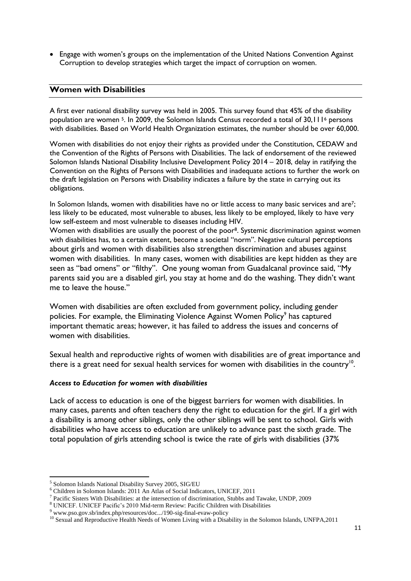• Engage with women's groups on the implementation of the United Nations Convention Against Corruption to develop strategies which target the impact of corruption on women.

#### <span id="page-10-0"></span>**Women with Disabilities**

A first ever national disability survey was held in 2005. This survey found that 45% of the disability population are women 5. In 2009, the Solomon Islands Census recorded a total of 30,111<sup>6</sup> persons with disabilities. Based on World Health Organization estimates, the number should be over 60,000.

Women with disabilities do not enjoy their rights as provided under the Constitution, CEDAW and the Convention of the Rights of Persons with Disabilities. The lack of endorsement of the reviewed Solomon Islands National Disability Inclusive Development Policy 2014 – 2018, delay in ratifying the Convention on the Rights of Persons with Disabilities and inadequate actions to further the work on the draft legislation on Persons with Disability indicates a failure by the state in carrying out its obligations.

In Solomon Islands, women with disabilities have no or little access to many basic services and are<sup>7</sup>; less likely to be educated, most vulnerable to abuses, less likely to be employed, likely to have very low self-esteem and most vulnerable to diseases including HIV.

Women with disabilities are usually the poorest of the poor<sup>8</sup>. Systemic discrimination against women with disabilities has, to a certain extent, become a societal "norm". Negative cultural perceptions about girls and women with disabilities also strengthen discrimination and abuses against women with disabilities. In many cases, women with disabilities are kept hidden as they are seen as "bad omens" or "filthy". One young woman from Guadalcanal province said, "My parents said you are a disabled girl, you stay at home and do the washing. They didn't want me to leave the house."

Women with disabilities are often excluded from government policy, including gender policies. For example, the Eliminating Violence Against Women Policy<sup>9</sup> has captured important thematic areas; however, it has failed to address the issues and concerns of women with disabilities.

Sexual health and reproductive rights of women with disabilities are of great importance and there is a great need for sexual health services for women with disabilities in the country<sup>10</sup>.

#### *Access to Education for women with disabilities*

Lack of access to education is one of the biggest barriers for women with disabilities. In many cases, parents and often teachers deny the right to education for the girl. If a girl with a disability is among other siblings, only the other siblings will be sent to school. Girls with disabilities who have access to education are unlikely to advance past the sixth grade. The total population of girls attending school is twice the rate of girls with disabilities (37%

<sup>1</sup> <sup>5</sup> Solomon Islands National Disability Survey 2005, SIG/EU

<sup>6</sup> Children in Solomon Islands: 2011 An Atlas of Social Indicators, UNICEF, 2011

<sup>&</sup>lt;sup>7</sup> Pacific Sisters With Disabilities: at the intersection of discrimination, Stubbs and Tawake, UNDP, 2009

<sup>8</sup> UNICEF. UNICEF Pacific's 2010 Mid-term Review: Pacific Children with Disabilities

<sup>9</sup> www.pso.gov.sb/index.php/resources/doc.../190-sig-final-evaw-policy

<sup>&</sup>lt;sup>10</sup> Sexual and Reproductive Health Needs of Women Living with a Disability in the Solomon Islands, UNFPA,2011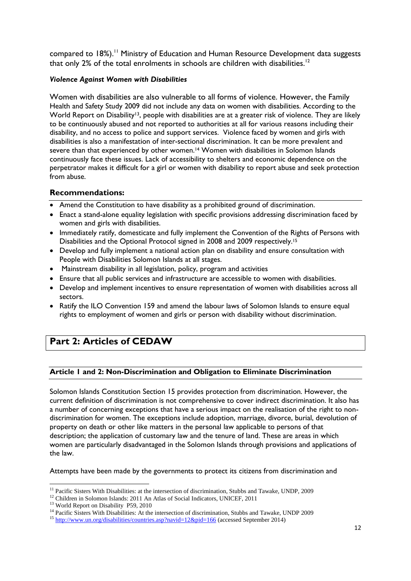compared to 18%).<sup>11</sup> Ministry of Education and Human Resource Development data suggests that only 2% of the total enrolments in schools are children with disabilities.<sup>12</sup>

#### *Violence Against Women with Disabilities*

Women with disabilities are also vulnerable to all forms of violence. However, the Family Health and Safety Study 2009 did not include any data on women with disabilities. According to the World Report on Disability<sup>13</sup>, people with disabilities are at a greater risk of violence. They are likely to be continuously abused and not reported to authorities at all for various reasons including their disability, and no access to police and support services. Violence faced by women and girls with disabilities is also a manifestation of inter-sectional discrimination. It can be more prevalent and severe than that experienced by other women.<sup>14</sup> Women with disabilities in Solomon Islands continuously face these issues. Lack of accessibility to shelters and economic dependence on the perpetrator makes it difficult for a girl or women with disability to report abuse and seek protection from abuse.

## <span id="page-11-0"></span>**Recommendations:**

- Amend the Constitution to have disability as a prohibited ground of discrimination.
- Enact a stand-alone equality legislation with specific provisions addressing discrimination faced by women and girls with disabilities.
- Immediately ratify, domesticate and fully implement the Convention of the Rights of Persons with Disabilities and the Optional Protocol signed in 2008 and 2009 respectively.<sup>15</sup>
- Develop and fully implement a national action plan on disability and ensure consultation with People with Disabilities Solomon Islands at all stages.
- Mainstream disability in all legislation, policy, program and activities
- Ensure that all public services and infrastructure are accessible to women with disabilities.
- Develop and implement incentives to ensure representation of women with disabilities across all sectors.
- Ratify the ILO Convention 159 and amend the labour laws of Solomon Islands to ensure equal rights to employment of women and girls or person with disability without discrimination.

# <span id="page-11-2"></span><span id="page-11-1"></span>**Part 2: Articles of CEDAW**

#### **Article 1 and 2: Non-Discrimination and Obligation to Eliminate Discrimination**

Solomon Islands Constitution Section 15 provides protection from discrimination. However, the current definition of discrimination is not comprehensive to cover indirect discrimination. It also has a number of concerning exceptions that have a serious impact on the realisation of the right to nondiscrimination for women. The exceptions include adoption, marriage, divorce, burial, devolution of property on death or other like matters in the personal law applicable to persons of that description; the application of customary law and the tenure of land. These are areas in which women are particularly disadvantaged in the Solomon Islands through provisions and applications of the law.

Attempts have been made by the governments to protect its citizens from discrimination and

**.** 

<sup>&</sup>lt;sup>11</sup> Pacific Sisters With Disabilities: at the intersection of discrimination, Stubbs and Tawake, UNDP, 2009

<sup>&</sup>lt;sup>12</sup> Children in Solomon Islands: 2011 An Atlas of Social Indicators, UNICEF, 2011

<sup>&</sup>lt;sup>13</sup> World Report on Disability P59, 2010

<sup>&</sup>lt;sup>14</sup> Pacific Sisters With Disabilities: At the intersection of discrimination, Stubbs and Tawake, UNDP 2009

<sup>&</sup>lt;sup>15</sup> http://www.un.org/disabilities/countries.asp?navid= $12\&$ pid= $166$  (accessed September 2014)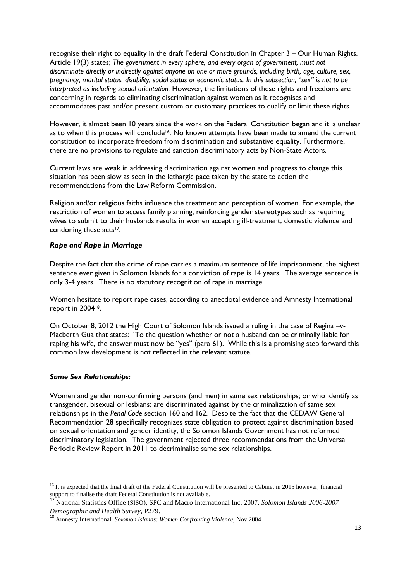recognise their right to equality in the draft Federal Constitution in Chapter 3 – Our Human Rights. Article 19(3) states; *The government in every sphere, and every organ of government, must not discriminate directly or indirectly against anyone on one or more grounds, including birth, age, culture, sex, pregnancy, marital status, disability, social status or economic status. In this subsection, "sex" is not to be interpreted as including sexual orientation.* However, the limitations of these rights and freedoms are concerning in regards to eliminating discrimination against women as it recognises and accommodates past and/or present custom or customary practices to qualify or limit these rights.

However, it almost been 10 years since the work on the Federal Constitution began and it is unclear as to when this process will conclude<sup>16</sup>. No known attempts have been made to amend the current constitution to incorporate freedom from discrimination and substantive equality. Furthermore, there are no provisions to regulate and sanction discriminatory acts by Non-State Actors.

Current laws are weak in addressing discrimination against women and progress to change this situation has been slow as seen in the lethargic pace taken by the state to action the recommendations from the Law Reform Commission.

Religion and/or religious faiths influence the treatment and perception of women. For example, the restriction of women to access family planning, reinforcing gender stereotypes such as requiring wives to submit to their husbands results in women accepting ill-treatment, domestic violence and condoning these acts<sup>17</sup>.

#### <span id="page-12-0"></span>*Rape and Rape in Marriage*

Despite the fact that the crime of rape carries a maximum sentence of life imprisonment, the highest sentence ever given in Solomon Islands for a conviction of rape is 14 years. The average sentence is only 3-4 years. There is no statutory recognition of rape in marriage.

Women hesitate to report rape cases, according to anecdotal evidence and Amnesty International report in 200418.

On October 8, 2012 the High Court of Solomon Islands issued a ruling in the case of Regina –v-Macberth Gua that states: "To the question whether or not a husband can be criminally liable for raping his wife, the answer must now be "yes" (para 61). While this is a promising step forward this common law development is not reflected in the relevant statute.

#### <span id="page-12-1"></span>*Same Sex Relationships:*

Women and gender non-confirming persons (and men) in same sex relationships; or who identify as transgender, bisexual or lesbians; are discriminated against by the criminalization of same sex relationships in the *Penal Code* section 160 and 162*.* Despite the fact that the CEDAW General Recommendation 28 specifically recognizes state obligation to protect against discrimination based on sexual orientation and gender identity, the Solomon Islands Government has not reformed discriminatory legislation. The government rejected three recommendations from the Universal Periodic Review Report in 2011 to decriminalise same sex relationships.

<sup>1</sup> <sup>16</sup> It is expected that the final draft of the Federal Constitution will be presented to Cabinet in 2015 however, financial support to finalise the draft Federal Constitution is not available.

<sup>17</sup> National Statistics Office (SISO), SPC and Macro International Inc. 2007. *Solomon Islands 2006-2007 Demographic and Health Survey,* P279.

<sup>18</sup> Amnesty International. *Solomon Islands: Women Confronting Violence,* Nov 2004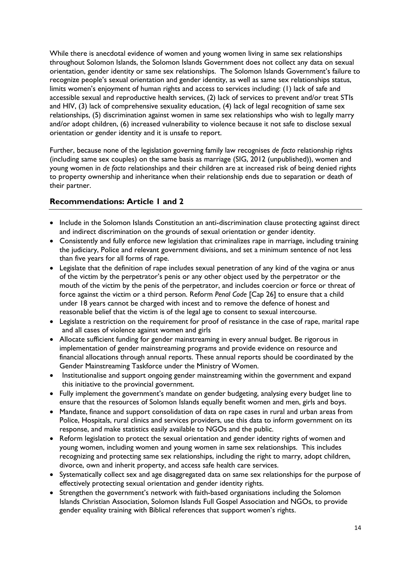While there is anecdotal evidence of women and young women living in same sex relationships throughout Solomon Islands, the Solomon Islands Government does not collect any data on sexual orientation, gender identity or same sex relationships. The Solomon Islands Government's failure to recognize people's sexual orientation and gender identity, as well as same sex relationships status, limits women's enjoyment of human rights and access to services including: (1) lack of safe and accessible sexual and reproductive health services, (2) lack of services to prevent and/or treat STIs and HIV, (3) lack of comprehensive sexuality education, (4) lack of legal recognition of same sex relationships, (5) discrimination against women in same sex relationships who wish to legally marry and/or adopt children, (6) increased vulnerability to violence because it not safe to disclose sexual orientation or gender identity and it is unsafe to report.

Further, because none of the legislation governing family law recognises *de facto* relationship rights (including same sex couples) on the same basis as marriage (SIG, 2012 (unpublished)), women and young women in *de facto* relationships and their children are at increased risk of being denied rights to property ownership and inheritance when their relationship ends due to separation or death of their partner.

# <span id="page-13-0"></span>**Recommendations: Article 1 and 2**

- Include in the Solomon Islands Constitution an anti-discrimination clause protecting against direct and indirect discrimination on the grounds of sexual orientation or gender identity.
- Consistently and fully enforce new legislation that criminalizes rape in marriage, including training the judiciary, Police and relevant government divisions, and set a minimum sentence of not less than five years for all forms of rape.
- Legislate that the definition of rape includes sexual penetration of any kind of the vagina or anus of the victim by the perpetrator's penis or any other object used by the perpetrator or the mouth of the victim by the penis of the perpetrator, and includes coercion or force or threat of force against the victim or a third person. Reform *Penal Code* [Cap 26] to ensure that a child under 18 years cannot be charged with incest and to remove the defence of honest and reasonable belief that the victim is of the legal age to consent to sexual intercourse.
- Legislate a restriction on the requirement for proof of resistance in the case of rape, marital rape and all cases of violence against women and girls
- Allocate sufficient funding for gender mainstreaming in every annual budget. Be rigorous in implementation of gender mainstreaming programs and provide evidence on resource and financial allocations through annual reports. These annual reports should be coordinated by the Gender Mainstreaming Taskforce under the Ministry of Women.
- Institutionalise and support ongoing gender mainstreaming within the government and expand this initiative to the provincial government.
- Fully implement the government's mandate on gender budgeting, analysing every budget line to ensure that the resources of Solomon Islands equally benefit women and men, girls and boys.
- Mandate, finance and support consolidation of data on rape cases in rural and urban areas from Police, Hospitals, rural clinics and services providers, use this data to inform government on its response, and make statistics easily available to NGOs and the public.
- Reform legislation to protect the sexual orientation and gender identity rights of women and young women, including women and young women in same sex relationships. This includes recognizing and protecting same sex relationships, including the right to marry, adopt children, divorce, own and inherit property, and access safe health care services.
- Systematically collect sex and age disaggregated data on same sex relationships for the purpose of effectively protecting sexual orientation and gender identity rights.
- Strengthen the government's network with faith-based organisations including the Solomon Islands Christian Association, Solomon Islands Full Gospel Association and NGOs, to provide gender equality training with Biblical references that support women's rights.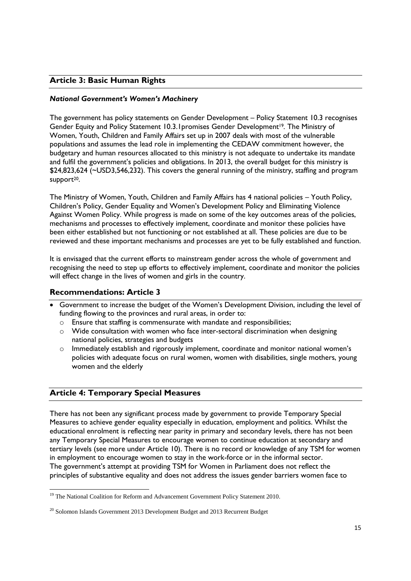# <span id="page-14-0"></span>**Article 3: Basic Human Rights**

#### <span id="page-14-1"></span>*National Government's Women's Machinery*

The government has policy statements on Gender Development – Policy Statement 10.3 recognises Gender Equity and Policy Statement 10.3.1promises Gender Development19*.* The Ministry of Women, Youth, Children and Family Affairs set up in 2007 deals with most of the vulnerable populations and assumes the lead role in implementing the CEDAW commitment however, the budgetary and human resources allocated to this ministry is not adequate to undertake its mandate and fulfil the government's policies and obligations. In 2013, the overall budget for this ministry is \$24,823,624 (~USD3,546,232). This covers the general running of the ministry, staffing and program support<sup>20</sup>.

The Ministry of Women, Youth, Children and Family Affairs has 4 national policies – Youth Policy, Children's Policy, Gender Equality and Women's Development Policy and Eliminating Violence Against Women Policy. While progress is made on some of the key outcomes areas of the policies, mechanisms and processes to effectively implement, coordinate and monitor these policies have been either established but not functioning or not established at all. These policies are due to be reviewed and these important mechanisms and processes are yet to be fully established and function.

It is envisaged that the current efforts to mainstream gender across the whole of government and recognising the need to step up efforts to effectively implement, coordinate and monitor the policies will effect change in the lives of women and girls in the country.

#### <span id="page-14-2"></span>**Recommendations: Article 3**

- Government to increase the budget of the Women's Development Division, including the level of funding flowing to the provinces and rural areas, in order to:
	- o Ensure that staffing is commensurate with mandate and responsibilities;
	- $\circ$  Wide consultation with women who face inter-sectoral discrimination when designing national policies, strategies and budgets
	- o Immediately establish and rigorously implement, coordinate and monitor national women's policies with adequate focus on rural women, women with disabilities, single mothers, young women and the elderly

#### <span id="page-14-3"></span>**Article 4: Temporary Special Measures**

**.** 

There has not been any significant process made by government to provide Temporary Special Measures to achieve gender equality especially in education, employment and politics. Whilst the educational enrolment is reflecting near parity in primary and secondary levels, there has not been any Temporary Special Measures to encourage women to continue education at secondary and tertiary levels (see more under Article 10). There is no record or knowledge of any TSM for women in employment to encourage women to stay in the work-force or in the informal sector. The government's attempt at providing TSM for Women in Parliament does not reflect the principles of substantive equality and does not address the issues gender barriers women face to

<sup>&</sup>lt;sup>19</sup> The National Coalition for Reform and Advancement Government Policy Statement 2010.

 $20$  Solomon Islands Government 2013 Development Budget and 2013 Recurrent Budget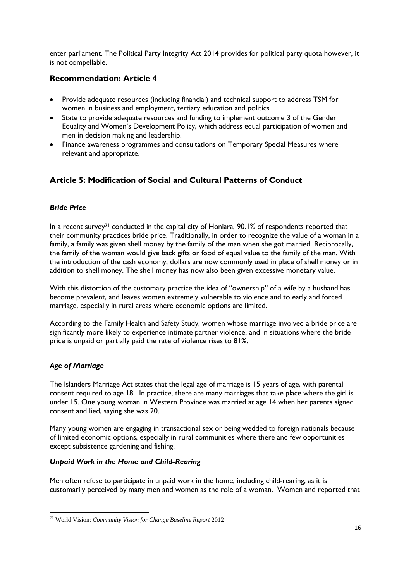enter parliament. The Political Party Integrity Act 2014 provides for political party quota however, it is not compellable.

## <span id="page-15-0"></span>**Recommendation: Article 4**

- Provide adequate resources (including financial) and technical support to address TSM for women in business and employment, tertiary education and politics
- State to provide adequate resources and funding to implement outcome 3 of the Gender Equality and Women's Development Policy, which address equal participation of women and men in decision making and leadership.
- Finance awareness programmes and consultations on Temporary Special Measures where relevant and appropriate.

# <span id="page-15-1"></span>**Article 5: Modification of Social and Cultural Patterns of Conduct**

#### <span id="page-15-2"></span>*Bride Price*

In a recent survey<sup>21</sup> conducted in the capital city of Honiara, 90.1% of respondents reported that their community practices bride price. Traditionally, in order to recognize the value of a woman in a family, a family was given shell money by the family of the man when she got married. Reciprocally, the family of the woman would give back gifts or food of equal value to the family of the man. With the introduction of the cash economy, dollars are now commonly used in place of shell money or in addition to shell money. The shell money has now also been given excessive monetary value.

With this distortion of the customary practice the idea of "ownership" of a wife by a husband has become prevalent, and leaves women extremely vulnerable to violence and to early and forced marriage, especially in rural areas where economic options are limited.

According to the Family Health and Safety Study, women whose marriage involved a bride price are significantly more likely to experience intimate partner violence, and in situations where the bride price is unpaid or partially paid the rate of violence rises to 81%.

#### <span id="page-15-3"></span>*Age of Marriage*

The Islanders Marriage Act states that the legal age of marriage is 15 years of age, with parental consent required to age 18. In practice, there are many marriages that take place where the girl is under 15. One young woman in Western Province was married at age 14 when her parents signed consent and lied, saying she was 20.

Many young women are engaging in transactional sex or being wedded to foreign nationals because of limited economic options, especially in rural communities where there and few opportunities except subsistence gardening and fishing.

#### <span id="page-15-4"></span>*Unpaid Work in the Home and Child-Rearing*

Men often refuse to participate in unpaid work in the home, including child-rearing, as it is customarily perceived by many men and women as the role of a woman. Women and reported that

**<sup>.</sup>** <sup>21</sup> World Vision: *Community Vision for Change Baseline Report* 2012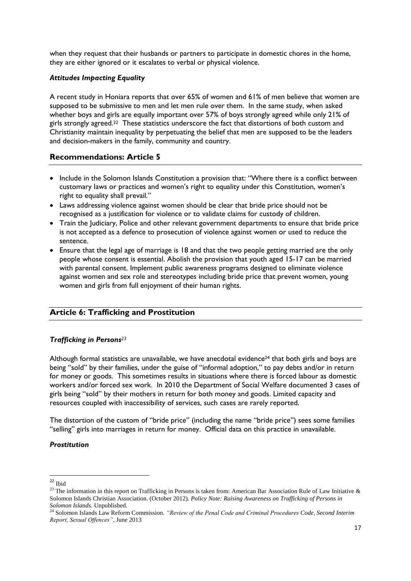when they request that their husbands or partners to participate in domestic chores in the home, they are either ignored or it escalates to verbal or physical violence.

#### <span id="page-16-0"></span>*Attitudes Impacting Equality*

A recent study in Honiara reports that over 65% of women and 61% of men believe that women are supposed to be submissive to men and let men rule over them. In the same study, when asked whether boys and girls are equally important over 57% of boys strongly agreed while only 21% of girls strongly agreed. <sup>22</sup> These statistics underscore the fact that distortions of both custom and Christianity maintain inequality by perpetuating the belief that men are supposed to be the leaders and decision-makers in the family, community and country.

#### <span id="page-16-1"></span>**Recommendations: Article 5**

- Include in the Solomon Islands Constitution a provision that: "Where there is a conflict between customary laws or practices and women's right to equality under this Constitution, women's right to equality shall prevail."
- Laws addressing violence against women should be clear that bride price should not be recognised as a justification for violence or to validate claims for custody of children.
- Train the Judiciary, Police and other relevant government departments to ensure that bride price is not accepted as a defence to prosecution of violence against women or used to reduce the sentence.
- Ensure that the legal age of marriage is 18 and that the two people getting married are the only people whose consent is essential. Abolish the provision that youth aged 15-17 can be married with parental consent. Implement public awareness programs designed to eliminate violence against women and sex role and stereotypes including bride price that prevent women, young women and girls from full enjoyment of their human rights.

# <span id="page-16-2"></span>**Article 6: Trafficking and Prostitution**

#### <span id="page-16-3"></span>*Trafficking in Persons<sup>23</sup>*

Although formal statistics are unavailable, we have anecdotal evidence<sup>24</sup> that both girls and boys are being "sold" by their families, under the guise of "informal adoption," to pay debts and/or in return for money or goods. This sometimes results in situations where there is forced labour as domestic workers and/or forced sex work. In 2010 the Department of Social Welfare documented 3 cases of girls being "sold" by their mothers in return for both money and goods. Limited capacity and resources coupled with inaccessibility of services, such cases are rarely reported.

The distortion of the custom of "bride price" (including the name "bride price") sees some families "selling" girls into marriages in return for money. Official data on this practice in unavailable.

#### <span id="page-16-4"></span>*Prostitution*

**<sup>.</sup>**  $22$  Ibid

<sup>&</sup>lt;sup>23</sup> The information in this report on Trafficking in Persons is taken from: American Bar Association Rule of Law Initiative  $\&$ Solomon Islands Christian Association. (October 2012). *Policy Note: Raising Awareness on Trafficking of Persons in Solomon Islands.* Unpublished.

<sup>24</sup> Solomon Islands Law Reform Commission. *"Review of the Penal Code and Criminal Procedures Code, Second Interim Report, Sexual Offences"*, June 2013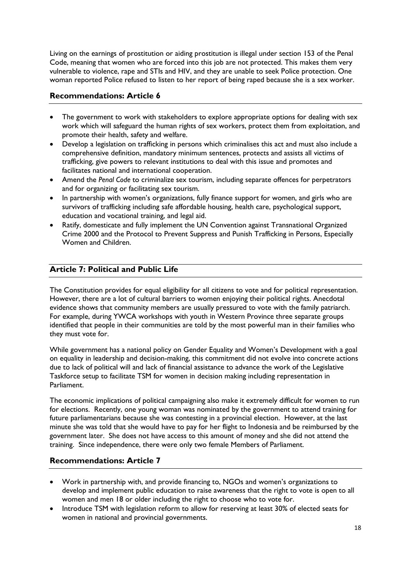Living on the earnings of prostitution or aiding prostitution is illegal under section 153 of the Penal Code, meaning that women who are forced into this job are not protected. This makes them very vulnerable to violence, rape and STIs and HIV, and they are unable to seek Police protection. One woman reported Police refused to listen to her report of being raped because she is a sex worker.

# <span id="page-17-0"></span>**Recommendations: Article 6**

- The government to work with stakeholders to explore appropriate options for dealing with sex work which will safeguard the human rights of sex workers, protect them from exploitation, and promote their health, safety and welfare.
- Develop a legislation on trafficking in persons which criminalises this act and must also include a comprehensive definition, mandatory minimum sentences, protects and assists all victims of trafficking, give powers to relevant institutions to deal with this issue and promotes and facilitates national and international cooperation.
- Amend the *Penal Code* to criminalize sex tourism, including separate offences for perpetrators and for organizing or facilitating sex tourism.
- In partnership with women's organizations, fully finance support for women, and girls who are survivors of trafficking including safe affordable housing, health care, psychological support, education and vocational training, and legal aid.
- Ratify, domesticate and fully implement the UN Convention against Transnational Organized Crime 2000 and the Protocol to Prevent Suppress and Punish Trafficking in Persons, Especially Women and Children.

# <span id="page-17-1"></span>**Article 7: Political and Public Life**

The Constitution provides for equal eligibility for all citizens to vote and for political representation. However, there are a lot of cultural barriers to women enjoying their political rights. Anecdotal evidence shows that community members are usually pressured to vote with the family patriarch. For example, during YWCA workshops with youth in Western Province three separate groups identified that people in their communities are told by the most powerful man in their families who they must vote for.

While government has a national policy on Gender Equality and Women's Development with a goal on equality in leadership and decision-making, this commitment did not evolve into concrete actions due to lack of political will and lack of financial assistance to advance the work of the Legislative Taskforce setup to facilitate TSM for women in decision making including representation in Parliament.

The economic implications of political campaigning also make it extremely difficult for women to run for elections. Recently, one young woman was nominated by the government to attend training for future parliamentarians because she was contesting in a provincial election. However, at the last minute she was told that she would have to pay for her flight to Indonesia and be reimbursed by the government later. She does not have access to this amount of money and she did not attend the training. Since independence, there were only two female Members of Parliament.

# <span id="page-17-2"></span>**Recommendations: Article 7**

- Work in partnership with, and provide financing to, NGOs and women's organizations to develop and implement public education to raise awareness that the right to vote is open to all women and men 18 or older including the right to choose who to vote for.
- Introduce TSM with legislation reform to allow for reserving at least 30% of elected seats for women in national and provincial governments.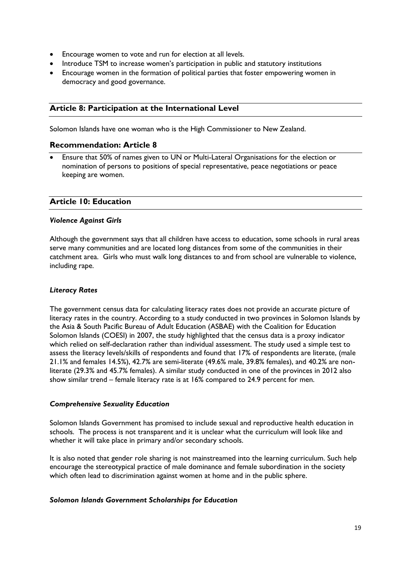- Encourage women to vote and run for election at all levels.
- Introduce TSM to increase women's participation in public and statutory institutions
- Encourage women in the formation of political parties that foster empowering women in democracy and good governance.

#### <span id="page-18-0"></span>**Article 8: Participation at the International Level**

Solomon Islands have one woman who is the High Commissioner to New Zealand.

#### <span id="page-18-1"></span>**Recommendation: Article 8**

 Ensure that 50% of names given to UN or Multi-Lateral Organisations for the election or nomination of persons to positions of special representative, peace negotiations or peace keeping are women.

#### <span id="page-18-2"></span>**Article 10: Education**

#### <span id="page-18-3"></span>*Violence Against Girls*

Although the government says that all children have access to education, some schools in rural areas serve many communities and are located long distances from some of the communities in their catchment area. Girls who must walk long distances to and from school are vulnerable to violence, including rape.

#### <span id="page-18-4"></span>*Literacy Rates*

The government census data for calculating literacy rates does not provide an accurate picture of literacy rates in the country. According to a study conducted in two provinces in Solomon Islands by the Asia & South Pacific Bureau of Adult Education (ASBAE) with the Coalition for Education Solomon Islands (COESI) in 2007, the study highlighted that the census data is a proxy indicator which relied on self-declaration rather than individual assessment. The study used a simple test to assess the literacy levels/skills of respondents and found that 17% of respondents are literate, (male 21.1% and females 14.5%), 42.7% are semi-literate (49.6% male, 39.8% females), and 40.2% are nonliterate (29.3% and 45.7% females). A similar study conducted in one of the provinces in 2012 also show similar trend – female literacy rate is at 16% compared to 24.9 percent for men.

#### <span id="page-18-5"></span>*Comprehensive Sexuality Education*

Solomon Islands Government has promised to include sexual and reproductive health education in schools. The process is not transparent and it is unclear what the curriculum will look like and whether it will take place in primary and/or secondary schools.

It is also noted that gender role sharing is not mainstreamed into the learning curriculum. Such help encourage the stereotypical practice of male dominance and female subordination in the society which often lead to discrimination against women at home and in the public sphere.

#### <span id="page-18-6"></span>*Solomon Islands Government Scholarships for Education*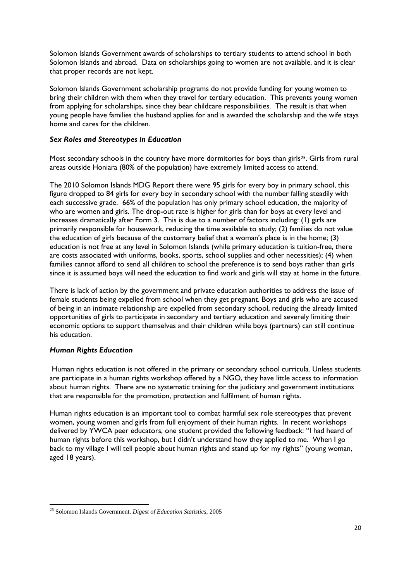Solomon Islands Government awards of scholarships to tertiary students to attend school in both Solomon Islands and abroad. Data on scholarships going to women are not available, and it is clear that proper records are not kept.

Solomon Islands Government scholarship programs do not provide funding for young women to bring their children with them when they travel for tertiary education. This prevents young women from applying for scholarships, since they bear childcare responsibilities. The result is that when young people have families the husband applies for and is awarded the scholarship and the wife stays home and cares for the children.

#### <span id="page-19-0"></span>*Sex Roles and Stereotypes in Education*

Most secondary schools in the country have more dormitories for boys than girls<sup>25</sup>. Girls from rural areas outside Honiara (80% of the population) have extremely limited access to attend.

The 2010 Solomon Islands MDG Report there were 95 girls for every boy in primary school, this figure dropped to 84 girls for every boy in secondary school with the number falling steadily with each successive grade. 66% of the population has only primary school education, the majority of who are women and girls. The drop-out rate is higher for girls than for boys at every level and increases dramatically after Form 3. This is due to a number of factors including: (1) girls are primarily responsible for housework, reducing the time available to study; (2) families do not value the education of girls because of the customary belief that a woman's place is in the home; (3) education is not free at any level in Solomon Islands (while primary education is tuition-free, there are costs associated with uniforms, books, sports, school supplies and other necessities); (4) when families cannot afford to send all children to school the preference is to send boys rather than girls since it is assumed boys will need the education to find work and girls will stay at home in the future.

There is lack of action by the government and private education authorities to address the issue of female students being expelled from school when they get pregnant. Boys and girls who are accused of being in an intimate relationship are expelled from secondary school, reducing the already limited opportunities of girls to participate in secondary and tertiary education and severely limiting their economic options to support themselves and their children while boys (partners) can still continue his education.

#### <span id="page-19-1"></span>*Human Rights Education*

Human rights education is not offered in the primary or secondary school curricula. Unless students are participate in a human rights workshop offered by a NGO, they have little access to information about human rights. There are no systematic training for the judiciary and government institutions that are responsible for the promotion, protection and fulfilment of human rights.

Human rights education is an important tool to combat harmful sex role stereotypes that prevent women, young women and girls from full enjoyment of their human rights. In recent workshops delivered by YWCA peer educators, one student provided the following feedback: "I had heard of human rights before this workshop, but I didn't understand how they applied to me. When I go back to my village I will tell people about human rights and stand up for my rights" (young woman, aged 18 years).

<sup>1</sup> <sup>25</sup> Solomon Islands Government. *Digest of Education Statistics,* 2005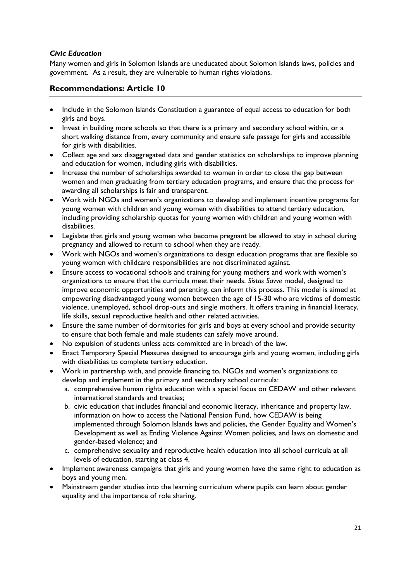#### <span id="page-20-0"></span>*Civic Education*

Many women and girls in Solomon Islands are uneducated about Solomon Islands laws, policies and government. As a result, they are vulnerable to human rights violations.

#### <span id="page-20-1"></span>**Recommendations: Article 10**

- Include in the Solomon Islands Constitution a guarantee of equal access to education for both girls and boys.
- Invest in building more schools so that there is a primary and secondary school within, or a short walking distance from, every community and ensure safe passage for girls and accessible for girls with disabilities.
- Collect age and sex disaggregated data and gender statistics on scholarships to improve planning and education for women, including girls with disabilities.
- Increase the number of scholarships awarded to women in order to close the gap between women and men graduating from tertiary education programs, and ensure that the process for awarding all scholarships is fair and transparent.
- Work with NGOs and women's organizations to develop and implement incentive programs for young women with children and young women with disabilities to attend tertiary education, including providing scholarship quotas for young women with children and young women with disabilities.
- Legislate that girls and young women who become pregnant be allowed to stay in school during pregnancy and allowed to return to school when they are ready.
- Work with NGOs and women's organizations to design education programs that are flexible so young women with childcare responsibilities are not discriminated against.
- Ensure access to vocational schools and training for young mothers and work with women's organizations to ensure that the curricula meet their needs. *Sistas Savve* model, designed to improve economic opportunities and parenting, can inform this process. This model is aimed at empowering disadvantaged young women between the age of 15-30 who are victims of domestic violence, unemployed, school drop-outs and single mothers. It offers training in financial literacy, life skills, sexual reproductive health and other related activities.
- Ensure the same number of dormitories for girls and boys at every school and provide security to ensure that both female and male students can safely move around.
- No expulsion of students unless acts committed are in breach of the law.
- Enact Temporary Special Measures designed to encourage girls and young women, including girls with disabilities to complete tertiary education.
- Work in partnership with, and provide financing to, NGOs and women's organizations to develop and implement in the primary and secondary school curricula:
	- a. comprehensive human rights education with a special focus on CEDAW and other relevant international standards and treaties;
	- b. civic education that includes financial and economic literacy, inheritance and property law, information on how to access the National Pension Fund, how CEDAW is being implemented through Solomon Islands laws and policies, the Gender Equality and Women's Development as well as Ending Violence Against Women policies, and laws on domestic and gender-based violence; and
	- c. comprehensive sexuality and reproductive health education into all school curricula at all levels of education, starting at class 4.
- Implement awareness campaigns that girls and young women have the same right to education as boys and young men.
- Mainstream gender studies into the learning curriculum where pupils can learn about gender equality and the importance of role sharing.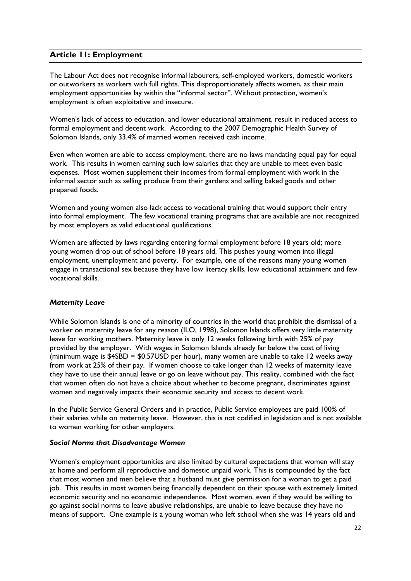## <span id="page-21-0"></span>**Article 11: Employment**

The Labour Act does not recognise informal labourers, self-employed workers, domestic workers or outworkers as workers with full rights. This disproportionately affects women, as their main employment opportunities lay within the "informal sector". Without protection, women's employment is often exploitative and insecure.

Women's lack of access to education, and lower educational attainment, result in reduced access to formal employment and decent work. According to the 2007 Demographic Health Survey of Solomon Islands, only 33.4% of married women received cash income.

Even when women are able to access employment, there are no laws mandating equal pay for equal work. This results in women earning such low salaries that they are unable to meet even basic expenses. Most women supplement their incomes from formal employment with work in the informal sector such as selling produce from their gardens and selling baked goods and other prepared foods.

Women and young women also lack access to vocational training that would support their entry into formal employment. The few vocational training programs that are available are not recognized by most employers as valid educational qualifications.

Women are affected by laws regarding entering formal employment before 18 years old; more young women drop out of school before 18 years old. This pushes young women into illegal employment, unemployment and poverty. For example, one of the reasons many young women engage in transactional sex because they have low literacy skills, low educational attainment and few vocational skills.

#### <span id="page-21-1"></span>*Maternity Leave*

While Solomon Islands is one of a minority of countries in the world that prohibit the dismissal of a worker on maternity leave for any reason (ILO, 1998), Solomon Islands offers very little maternity leave for working mothers. Maternity leave is only 12 weeks following birth with 25% of pay provided by the employer. With wages in Solomon Islands already far below the cost of living (minimum wage is \$4SBD = \$0.57USD per hour), many women are unable to take 12 weeks away from work at 25% of their pay. If women choose to take longer than 12 weeks of maternity leave they have to use their annual leave or go on leave without pay. This reality, combined with the fact that women often do not have a choice about whether to become pregnant, discriminates against women and negatively impacts their economic security and access to decent work.

In the Public Service General Orders and in practice, Public Service employees are paid 100% of their salaries while on maternity leave. However, this is not codified in legislation and is not available to women working for other employers.

#### <span id="page-21-2"></span>*Social Norms that Disadvantage Women*

Women's employment opportunities are also limited by cultural expectations that women will stay at home and perform all reproductive and domestic unpaid work. This is compounded by the fact that most women and men believe that a husband must give permission for a woman to get a paid job. This results in most women being financially dependent on their spouse with extremely limited economic security and no economic independence. Most women, even if they would be willing to go against social norms to leave abusive relationships, are unable to leave because they have no means of support. One example is a young woman who left school when she was 14 years old and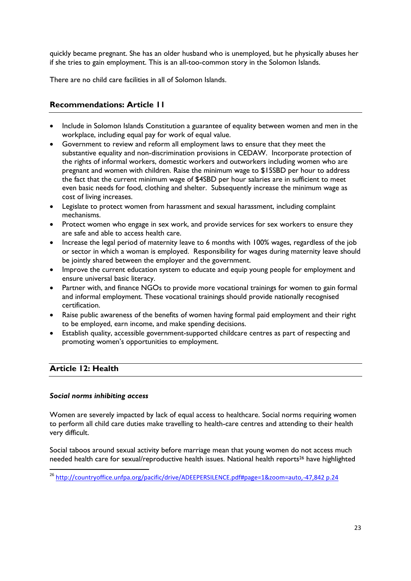quickly became pregnant. She has an older husband who is unemployed, but he physically abuses her if she tries to gain employment. This is an all-too-common story in the Solomon Islands.

There are no child care facilities in all of Solomon Islands.

## <span id="page-22-0"></span>**Recommendations: Article 11**

- Include in Solomon Islands Constitution a guarantee of equality between women and men in the workplace, including equal pay for work of equal value.
- Government to review and reform all employment laws to ensure that they meet the substantive equality and non-discrimination provisions in CEDAW. Incorporate protection of the rights of informal workers, domestic workers and outworkers including women who are pregnant and women with children. Raise the minimum wage to \$15SBD per hour to address the fact that the current minimum wage of \$4SBD per hour salaries are in sufficient to meet even basic needs for food, clothing and shelter. Subsequently increase the minimum wage as cost of living increases.
- Legislate to protect women from harassment and sexual harassment, including complaint mechanisms.
- Protect women who engage in sex work, and provide services for sex workers to ensure they are safe and able to access health care.
- Increase the legal period of maternity leave to 6 months with 100% wages, regardless of the job or sector in which a woman is employed. Responsibility for wages during maternity leave should be jointly shared between the employer and the government.
- Improve the current education system to educate and equip young people for employment and ensure universal basic literacy.
- Partner with, and finance NGOs to provide more vocational trainings for women to gain formal and informal employment. These vocational trainings should provide nationally recognised certification.
- Raise public awareness of the benefits of women having formal paid employment and their right to be employed, earn income, and make spending decisions.
- Establish quality, accessible government-supported childcare centres as part of respecting and promoting women's opportunities to employment.

# <span id="page-22-1"></span>**Article 12: Health**

**.** 

#### <span id="page-22-2"></span>*Social norms inhibiting access*

Women are severely impacted by lack of equal access to healthcare. Social norms requiring women to perform all child care duties make travelling to health-care centres and attending to their health very difficult.

Social taboos around sexual activity before marriage mean that young women do not access much needed health care for sexual/reproductive health issues. National health reports<sup>26</sup> have highlighted

<sup>26</sup> <http://countryoffice.unfpa.org/pacific/drive/ADEEPERSILENCE.pdf#page=1&zoom=auto,-47,842> p.24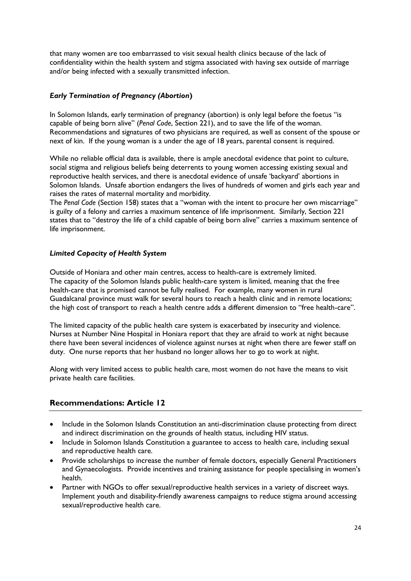that many women are too embarrassed to visit sexual health clinics because of the lack of confidentiality within the health system and stigma associated with having sex outside of marriage and/or being infected with a sexually transmitted infection.

#### <span id="page-23-0"></span>*Early Termination of Pregnancy (Abortion***)**

In Solomon Islands, early termination of pregnancy (abortion) is only legal before the foetus "is capable of being born alive" (*Penal Code*, Section 221), and to save the life of the woman. Recommendations and signatures of two physicians are required, as well as consent of the spouse or next of kin. If the young woman is a under the age of 18 years, parental consent is required.

While no reliable official data is available, there is ample anecdotal evidence that point to culture, social stigma and religious beliefs being deterrents to young women accessing existing sexual and reproductive health services, and there is anecdotal evidence of unsafe 'backyard' abortions in Solomon Islands. Unsafe abortion endangers the lives of hundreds of women and girls each year and raises the rates of maternal mortality and morbidity.

The *Penal Code* (Section 158) states that a "woman with the intent to procure her own miscarriage" is guilty of a felony and carries a maximum sentence of life imprisonment. Similarly, Section 221 states that to "destroy the life of a child capable of being born alive" carries a maximum sentence of life imprisonment.

#### <span id="page-23-1"></span>*Limited Capacity of Health System*

Outside of Honiara and other main centres, access to health-care is extremely limited. The capacity of the Solomon Islands public health-care system is limited, meaning that the free health-care that is promised cannot be fully realised. For example, many women in rural Guadalcanal province must walk for several hours to reach a health clinic and in remote locations; the high cost of transport to reach a health centre adds a different dimension to "free health-care".

The limited capacity of the public health care system is exacerbated by insecurity and violence. Nurses at Number Nine Hospital in Honiara report that they are afraid to work at night because there have been several incidences of violence against nurses at night when there are fewer staff on duty. One nurse reports that her husband no longer allows her to go to work at night.

Along with very limited access to public health care, most women do not have the means to visit private health care facilities.

# <span id="page-23-2"></span>**Recommendations: Article 12**

- Include in the Solomon Islands Constitution an anti-discrimination clause protecting from direct and indirect discrimination on the grounds of health status, including HIV status.
- Include in Solomon Islands Constitution a guarantee to access to health care, including sexual and reproductive health care.
- Provide scholarships to increase the number of female doctors, especially General Practitioners and Gynaecologists. Provide incentives and training assistance for people specialising in women's health.
- Partner with NGOs to offer sexual/reproductive health services in a variety of discreet ways. Implement youth and disability-friendly awareness campaigns to reduce stigma around accessing sexual/reproductive health care.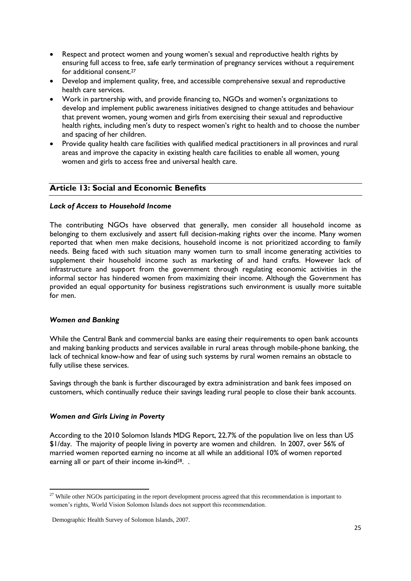- Respect and protect women and young women's sexual and reproductive health rights by ensuring full access to free, safe early termination of pregnancy services without a requirement for additional consent. 27
- Develop and implement quality, free, and accessible comprehensive sexual and reproductive health care services.
- Work in partnership with, and provide financing to, NGOs and women's organizations to develop and implement public awareness initiatives designed to change attitudes and behaviour that prevent women, young women and girls from exercising their sexual and reproductive health rights, including men's duty to respect women's right to health and to choose the number and spacing of her children.
- Provide quality health care facilities with qualified medical practitioners in all provinces and rural areas and improve the capacity in existing health care facilities to enable all women, young women and girls to access free and universal health care.

#### <span id="page-24-0"></span>**Article 13: Social and Economic Benefits**

#### <span id="page-24-1"></span>*Lack of Access to Household Income*

The contributing NGOs have observed that generally, men consider all household income as belonging to them exclusively and assert full decision-making rights over the income. Many women reported that when men make decisions, household income is not prioritized according to family needs. Being faced with such situation many women turn to small income generating activities to supplement their household income such as marketing of and hand crafts. However lack of infrastructure and support from the government through regulating economic activities in the informal sector has hindered women from maximizing their income. Although the Government has provided an equal opportunity for business registrations such environment is usually more suitable for men.

#### <span id="page-24-2"></span>*Women and Banking*

**.** 

While the Central Bank and commercial banks are easing their requirements to open bank accounts and making banking products and services available in rural areas through mobile-phone banking, the lack of technical know-how and fear of using such systems by rural women remains an obstacle to fully utilise these services.

Savings through the bank is further discouraged by extra administration and bank fees imposed on customers, which continually reduce their savings leading rural people to close their bank accounts.

#### <span id="page-24-3"></span>*Women and Girls Living in Poverty*

According to the 2010 Solomon Islands MDG Report, 22.7% of the population live on less than US \$1/day. The majority of people living in poverty are women and children. In 2007, over 56% of married women reported earning no income at all while an additional 10% of women reported earning all or part of their income in-kind<sup>28</sup>. .

 $27$  While other NGOs participating in the report development process agreed that this recommendation is important to women's rights, World Vision Solomon Islands does not support this recommendation.

Demographic Health Survey of Solomon Islands, 2007.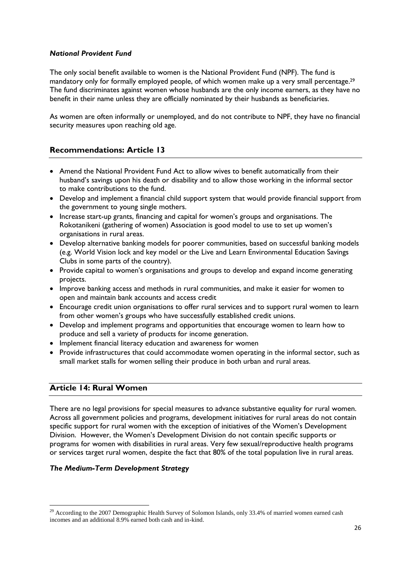#### <span id="page-25-0"></span>*National Provident Fund*

The only social benefit available to women is the National Provident Fund (NPF). The fund is mandatory only for formally employed people, of which women make up a very small percentage.<sup>29</sup> The fund discriminates against women whose husbands are the only income earners, as they have no benefit in their name unless they are officially nominated by their husbands as beneficiaries.

As women are often informally or unemployed, and do not contribute to NPF, they have no financial security measures upon reaching old age.

# <span id="page-25-1"></span>**Recommendations: Article 13**

- Amend the National Provident Fund Act to allow wives to benefit automatically from their husband's savings upon his death or disability and to allow those working in the informal sector to make contributions to the fund.
- Develop and implement a financial child support system that would provide financial support from the government to young single mothers.
- Increase start-up grants, financing and capital for women's groups and organisations. The Rokotanikeni (gathering of women) Association is good model to use to set up women's organisations in rural areas.
- Develop alternative banking models for poorer communities, based on successful banking models (e.g. World Vision lock and key model or the Live and Learn Environmental Education Savings Clubs in some parts of the country).
- Provide capital to women's organisations and groups to develop and expand income generating projects.
- Improve banking access and methods in rural communities, and make it easier for women to open and maintain bank accounts and access credit
- Encourage credit union organisations to offer rural services and to support rural women to learn from other women's groups who have successfully established credit unions.
- Develop and implement programs and opportunities that encourage women to learn how to produce and sell a variety of products for income generation.
- Implement financial literacy education and awareness for women
- Provide infrastructures that could accommodate women operating in the informal sector, such as small market stalls for women selling their produce in both urban and rural areas.

#### <span id="page-25-2"></span>**Article 14: Rural Women**

**.** 

There are no legal provisions for special measures to advance substantive equality for rural women. Across all government policies and programs, development initiatives for rural areas do not contain specific support for rural women with the exception of initiatives of the Women's Development Division. However, the Women's Development Division do not contain specific supports or programs for women with disabilities in rural areas. Very few sexual/reproductive health programs or services target rural women, despite the fact that 80% of the total population live in rural areas.

#### <span id="page-25-3"></span>*The Medium-Term Development Strategy*

 $29$  According to the 2007 Demographic Health Survey of Solomon Islands, only 33.4% of married women earned cash incomes and an additional 8.9% earned both cash and in-kind.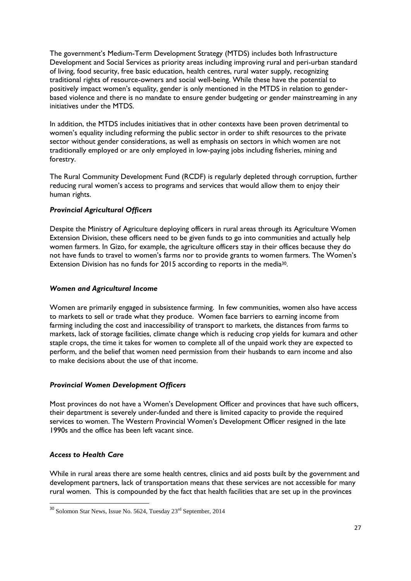The government's Medium-Term Development Strategy (MTDS) includes both Infrastructure Development and Social Services as priority areas including improving rural and peri-urban standard of living, food security, free basic education, health centres, rural water supply, recognizing traditional rights of resource-owners and social well-being. While these have the potential to positively impact women's equality, gender is only mentioned in the MTDS in relation to genderbased violence and there is no mandate to ensure gender budgeting or gender mainstreaming in any initiatives under the MTDS.

In addition, the MTDS includes initiatives that in other contexts have been proven detrimental to women's equality including reforming the public sector in order to shift resources to the private sector without gender considerations, as well as emphasis on sectors in which women are not traditionally employed or are only employed in low-paying jobs including fisheries, mining and forestry.

The Rural Community Development Fund (RCDF) is regularly depleted through corruption, further reducing rural women's access to programs and services that would allow them to enjoy their human rights.

#### <span id="page-26-0"></span>*Provincial Agricultural Officers*

Despite the Ministry of Agriculture deploying officers in rural areas through its Agriculture Women Extension Division, these officers need to be given funds to go into communities and actually help women farmers. In Gizo, for example, the agriculture officers stay in their offices because they do not have funds to travel to women's farms nor to provide grants to women farmers. The Women's Extension Division has no funds for 2015 according to reports in the media<sup>30</sup>.

#### <span id="page-26-1"></span>*Women and Agricultural Income*

Women are primarily engaged in subsistence farming. In few communities, women also have access to markets to sell or trade what they produce. Women face barriers to earning income from farming including the cost and inaccessibility of transport to markets, the distances from farms to markets, lack of storage facilities, climate change which is reducing crop yields for kumara and other staple crops, the time it takes for women to complete all of the unpaid work they are expected to perform, and the belief that women need permission from their husbands to earn income and also to make decisions about the use of that income.

#### <span id="page-26-2"></span>*Provincial Women Development Officers*

Most provinces do not have a Women's Development Officer and provinces that have such officers, their department is severely under-funded and there is limited capacity to provide the required services to women. The Western Provincial Women's Development Officer resigned in the late 1990s and the office has been left vacant since.

#### <span id="page-26-3"></span>*Access to Health Care*

1

While in rural areas there are some health centres, clinics and aid posts built by the government and development partners, lack of transportation means that these services are not accessible for many rural women. This is compounded by the fact that health facilities that are set up in the provinces

<sup>&</sup>lt;sup>30</sup> Solomon Star News, Issue No. 5624, Tuesday 23<sup>rd</sup> September, 2014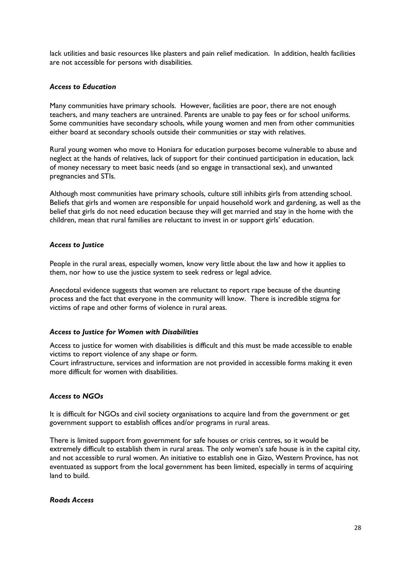lack utilities and basic resources like plasters and pain relief medication. In addition, health facilities are not accessible for persons with disabilities.

#### <span id="page-27-0"></span>*Access to Education*

Many communities have primary schools. However, facilities are poor, there are not enough teachers, and many teachers are untrained. Parents are unable to pay fees or for school uniforms. Some communities have secondary schools, while young women and men from other communities either board at secondary schools outside their communities or stay with relatives.

Rural young women who move to Honiara for education purposes become vulnerable to abuse and neglect at the hands of relatives, lack of support for their continued participation in education, lack of money necessary to meet basic needs (and so engage in transactional sex), and unwanted pregnancies and STIs.

Although most communities have primary schools, culture still inhibits girls from attending school. Beliefs that girls and women are responsible for unpaid household work and gardening, as well as the belief that girls do not need education because they will get married and stay in the home with the children, mean that rural families are reluctant to invest in or support girls' education.

#### <span id="page-27-1"></span>*Access to Justice*

People in the rural areas, especially women, know very little about the law and how it applies to them, nor how to use the justice system to seek redress or legal advice.

Anecdotal evidence suggests that women are reluctant to report rape because of the daunting process and the fact that everyone in the community will know. There is incredible stigma for victims of rape and other forms of violence in rural areas.

#### <span id="page-27-2"></span>*Access to Justice for Women with Disabilities*

Access to justice for women with disabilities is difficult and this must be made accessible to enable victims to report violence of any shape or form.

Court infrastructure, services and information are not provided in accessible forms making it even more difficult for women with disabilities.

#### <span id="page-27-3"></span>*Access to NGOs*

It is difficult for NGOs and civil society organisations to acquire land from the government or get government support to establish offices and/or programs in rural areas.

There is limited support from government for safe houses or crisis centres, so it would be extremely difficult to establish them in rural areas. The only women's safe house is in the capital city, and not accessible to rural women. An initiative to establish one in Gizo, Western Province, has not eventuated as support from the local government has been limited, especially in terms of acquiring land to build.

#### <span id="page-27-4"></span>*Roads Access*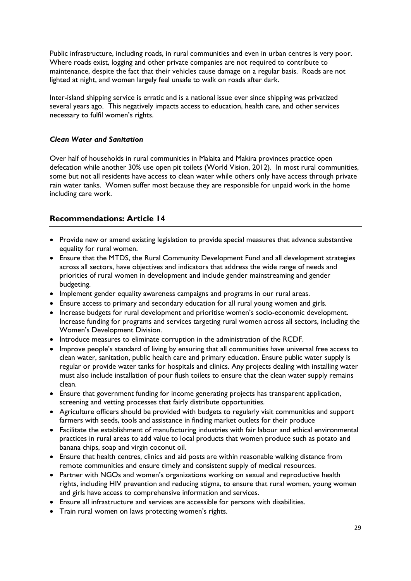Public infrastructure, including roads, in rural communities and even in urban centres is very poor. Where roads exist, logging and other private companies are not required to contribute to maintenance, despite the fact that their vehicles cause damage on a regular basis. Roads are not lighted at night, and women largely feel unsafe to walk on roads after dark.

Inter-island shipping service is erratic and is a national issue ever since shipping was privatized several years ago. This negatively impacts access to education, health care, and other services necessary to fulfil women's rights.

#### <span id="page-28-0"></span>*Clean Water and Sanitation*

Over half of households in rural communities in Malaita and Makira provinces practice open defecation while another 30% use open pit toilets (World Vision, 2012). In most rural communities, some but not all residents have access to clean water while others only have access through private rain water tanks. Women suffer most because they are responsible for unpaid work in the home including care work.

# <span id="page-28-1"></span>**Recommendations: Article 14**

- Provide new or amend existing legislation to provide special measures that advance substantive equality for rural women.
- Ensure that the MTDS, the Rural Community Development Fund and all development strategies across all sectors, have objectives and indicators that address the wide range of needs and priorities of rural women in development and include gender mainstreaming and gender budgeting.
- Implement gender equality awareness campaigns and programs in our rural areas.
- Ensure access to primary and secondary education for all rural young women and girls.
- Increase budgets for rural development and prioritise women's socio-economic development. Increase funding for programs and services targeting rural women across all sectors, including the Women's Development Division.
- Introduce measures to eliminate corruption in the administration of the RCDF.
- Improve people's standard of living by ensuring that all communities have universal free access to clean water, sanitation, public health care and primary education. Ensure public water supply is regular or provide water tanks for hospitals and clinics. Any projects dealing with installing water must also include installation of pour flush toilets to ensure that the clean water supply remains clean.
- Ensure that government funding for income generating projects has transparent application, screening and vetting processes that fairly distribute opportunities.
- Agriculture officers should be provided with budgets to regularly visit communities and support farmers with seeds, tools and assistance in finding market outlets for their produce
- Facilitate the establishment of manufacturing industries with fair labour and ethical environmental practices in rural areas to add value to local products that women produce such as potato and banana chips, soap and virgin coconut oil.
- Ensure that health centres, clinics and aid posts are within reasonable walking distance from remote communities and ensure timely and consistent supply of medical resources.
- Partner with NGOs and women's organizations working on sexual and reproductive health rights, including HIV prevention and reducing stigma, to ensure that rural women, young women and girls have access to comprehensive information and services.
- Ensure all infrastructure and services are accessible for persons with disabilities.
- Train rural women on laws protecting women's rights.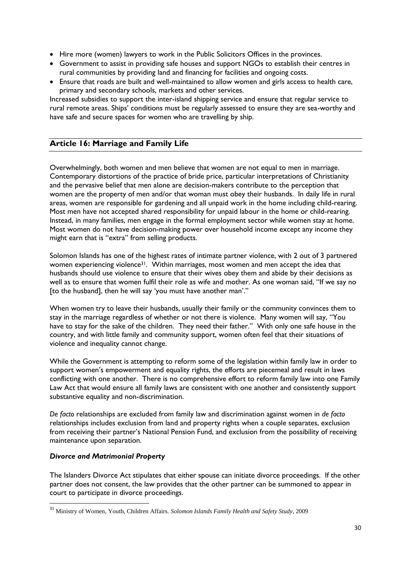- Hire more (women) lawyers to work in the Public Solicitors Offices in the provinces.
- Government to assist in providing safe houses and support NGOs to establish their centres in rural communities by providing land and financing for facilities and ongoing costs.
- Ensure that roads are built and well-maintained to allow women and girls access to health care, primary and secondary schools, markets and other services.

Increased subsidies to support the inter-island shipping service and ensure that regular service to rural remote areas. Ships' conditions must be regularly assessed to ensure they are sea-worthy and have safe and secure spaces for women who are travelling by ship.

# <span id="page-29-0"></span>**Article 16: Marriage and Family Life**

Overwhelmingly, both women and men believe that women are not equal to men in marriage. Contemporary distortions of the practice of bride price, particular interpretations of Christianity and the pervasive belief that men alone are decision-makers contribute to the perception that women are the property of men and/or that woman must obey their husbands. In daily life in rural areas, women are responsible for gardening and all unpaid work in the home including child-rearing. Most men have not accepted shared responsibility for unpaid labour in the home or child-rearing. Instead, in many families, men engage in the formal employment sector while women stay at home. Most women do not have decision-making power over household income except any income they might earn that is "extra" from selling products.

Solomon Islands has one of the highest rates of intimate partner violence, with 2 out of 3 partnered women experiencing violence<sup>31</sup>. Within marriages, most women and men accept the idea that husbands should use violence to ensure that their wives obey them and abide by their decisions as well as to ensure that women fulfil their role as wife and mother. As one woman said, "If we say no [to the husband], then he will say 'you must have another man'."

When women try to leave their husbands, usually their family or the community convinces them to stay in the marriage regardless of whether or not there is violence. Many women will say, "You have to stay for the sake of the children. They need their father." With only one safe house in the country, and with little family and community support, women often feel that their situations of violence and inequality cannot change.

While the Government is attempting to reform some of the legislation within family law in order to support women's empowerment and equality rights, the efforts are piecemeal and result in laws conflicting with one another. There is no comprehensive effort to reform family law into one Family Law Act that would ensure all family laws are consistent with one another and consistently support substantive equality and non-discrimination.

*De facto* relationships are excluded from family law and discrimination against women in *de facto* relationships includes exclusion from land and property rights when a couple separates, exclusion from receiving their partner's National Pension Fund, and exclusion from the possibility of receiving maintenance upon separation.

#### <span id="page-29-1"></span>*Divorce and Matrimonial Property*

1

The Islanders Divorce Act stipulates that either spouse can initiate divorce proceedings. If the other partner does not consent, the law provides that the other partner can be summoned to appear in court to participate in divorce proceedings.

<sup>31</sup> Ministry of Women, Youth, Children Affairs. *Solomon Islands Family Health and Safety Study*, 2009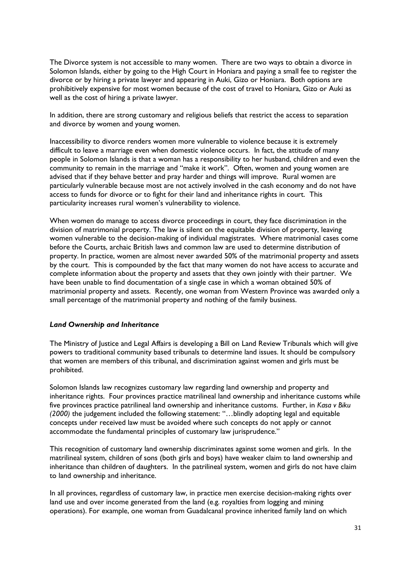The Divorce system is not accessible to many women. There are two ways to obtain a divorce in Solomon Islands, either by going to the High Court in Honiara and paying a small fee to register the divorce or by hiring a private lawyer and appearing in Auki, Gizo or Honiara. Both options are prohibitively expensive for most women because of the cost of travel to Honiara, Gizo or Auki as well as the cost of hiring a private lawyer.

In addition, there are strong customary and religious beliefs that restrict the access to separation and divorce by women and young women.

Inaccessibility to divorce renders women more vulnerable to violence because it is extremely difficult to leave a marriage even when domestic violence occurs. In fact, the attitude of many people in Solomon Islands is that a woman has a responsibility to her husband, children and even the community to remain in the marriage and "make it work". Often, women and young women are advised that if they behave better and pray harder and things will improve. Rural women are particularly vulnerable because most are not actively involved in the cash economy and do not have access to funds for divorce or to fight for their land and inheritance rights in court. This particularity increases rural women's vulnerability to violence.

When women do manage to access divorce proceedings in court, they face discrimination in the division of matrimonial property. The law is silent on the equitable division of property, leaving women vulnerable to the decision-making of individual magistrates. Where matrimonial cases come before the Courts, archaic British laws and common law are used to determine distribution of property. In practice, women are almost never awarded 50% of the matrimonial property and assets by the court. This is compounded by the fact that many women do not have access to accurate and complete information about the property and assets that they own jointly with their partner. We have been unable to find documentation of a single case in which a woman obtained 50% of matrimonial property and assets. Recently, one woman from Western Province was awarded only a small percentage of the matrimonial property and nothing of the family business.

#### <span id="page-30-0"></span>*Land Ownership and Inheritance*

The Ministry of Justice and Legal Affairs is developing a Bill on Land Review Tribunals which will give powers to traditional community based tribunals to determine land issues. It should be compulsory that women are members of this tribunal, and discrimination against women and girls must be prohibited.

Solomon Islands law recognizes customary law regarding land ownership and property and inheritance rights. Four provinces practice matrilineal land ownership and inheritance customs while five provinces practice patrilineal land ownership and inheritance customs. Further, in *Kasa v Biku (2000)* the judgement included the following statement: "…blindly adopting legal and equitable concepts under received law must be avoided where such concepts do not apply or cannot accommodate the fundamental principles of customary law jurisprudence."

This recognition of customary land ownership discriminates against some women and girls. In the matrilineal system, children of sons (both girls and boys) have weaker claim to land ownership and inheritance than children of daughters. In the patrilineal system, women and girls do not have claim to land ownership and inheritance.

In all provinces, regardless of customary law, in practice men exercise decision-making rights over land use and over income generated from the land (e.g. royalties from logging and mining operations). For example, one woman from Guadalcanal province inherited family land on which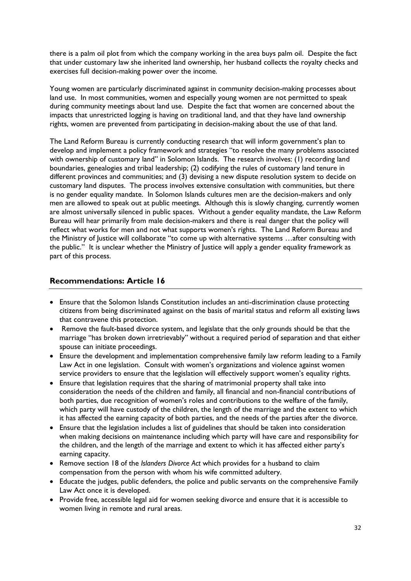there is a palm oil plot from which the company working in the area buys palm oil. Despite the fact that under customary law she inherited land ownership, her husband collects the royalty checks and exercises full decision-making power over the income.

Young women are particularly discriminated against in community decision-making processes about land use. In most communities, women and especially young women are not permitted to speak during community meetings about land use. Despite the fact that women are concerned about the impacts that unrestricted logging is having on traditional land, and that they have land ownership rights, women are prevented from participating in decision-making about the use of that land.

The Land Reform Bureau is currently conducting research that will inform government's plan to develop and implement a policy framework and strategies "to resolve the many problems associated with ownership of customary land" in Solomon Islands. The research involves: (1) recording land boundaries, genealogies and tribal leadership; (2) codifying the rules of customary land tenure in different provinces and communities; and (3) devising a new dispute resolution system to decide on customary land disputes. The process involves extensive consultation with communities, but there is no gender equality mandate. In Solomon Islands cultures men are the decision-makers and only men are allowed to speak out at public meetings. Although this is slowly changing, currently women are almost universally silenced in public spaces. Without a gender equality mandate, the Law Reform Bureau will hear primarily from male decision-makers and there is real danger that the policy will reflect what works for men and not what supports women's rights. The Land Reform Bureau and the Ministry of Justice will collaborate "to come up with alternative systems …after consulting with the public." It is unclear whether the Ministry of Justice will apply a gender equality framework as part of this process.

# <span id="page-31-0"></span>**Recommendations: Article 16**

- Ensure that the Solomon Islands Constitution includes an anti-discrimination clause protecting citizens from being discriminated against on the basis of marital status and reform all existing laws that contravene this protection.
- Remove the fault-based divorce system, and legislate that the only grounds should be that the marriage "has broken down irretrievably" without a required period of separation and that either spouse can initiate proceedings.
- Ensure the development and implementation comprehensive family law reform leading to a Family Law Act in one legislation. Consult with women's organizations and violence against women service providers to ensure that the legislation will effectively support women's equality rights.
- Ensure that legislation requires that the sharing of matrimonial property shall take into consideration the needs of the children and family, all financial and non-financial contributions of both parties, due recognition of women's roles and contributions to the welfare of the family, which party will have custody of the children, the length of the marriage and the extent to which it has affected the earning capacity of both parties, and the needs of the parties after the divorce.
- Ensure that the legislation includes a list of guidelines that should be taken into consideration when making decisions on maintenance including which party will have care and responsibility for the children, and the length of the marriage and extent to which it has affected either party's earning capacity.
- Remove section 18 of the *Islanders Divorce Act* which provides for a husband to claim compensation from the person with whom his wife committed adultery.
- Educate the judges, public defenders, the police and public servants on the comprehensive Family Law Act once it is developed.
- Provide free, accessible legal aid for women seeking divorce and ensure that it is accessible to women living in remote and rural areas.